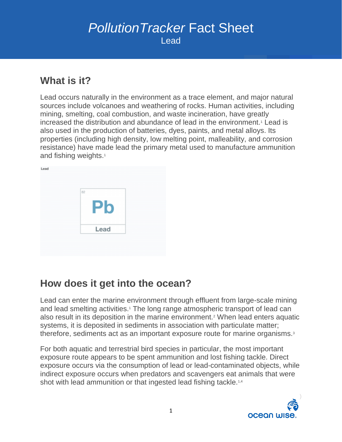# *PollutionTracker* Fact Sheet Lead

#### **What is it?**

Lead occurs naturally in the environment as a trace element, and major natural sources include volcanoes and weathering of rocks. Human activities, including mining, smelting, coal combustion, and waste incineration, have greatly increased the distribution and abundance of lead in the environment.<sup>1</sup> Lead is also used in the production of batteries, dyes, paints, and metal alloys. Its properties (including high density, low melting point, malleability, and corrosion resistance) have made lead the primary metal used to manufacture ammunition and fishing weights.<sup>1</sup>



### **How does it get into the ocean?**

Lead can enter the marine environment through effluent from large-scale mining and lead smelting activities.<sup>1</sup> The long range atmospheric transport of lead can also result in its deposition in the marine environment.<sup>2</sup> When lead enters aquatic systems, it is deposited in sediments in association with particulate matter; therefore, sediments act as an important exposure route for marine organisms.<sup>3</sup>

For both aquatic and terrestrial bird species in particular, the most important exposure route appears to be spent ammunition and lost fishing tackle. Direct exposure occurs via the consumption of lead or lead-contaminated objects, while indirect exposure occurs when predators and scavengers eat animals that were shot with lead ammunition or that ingested lead fishing tackle.<sup>1,4</sup>

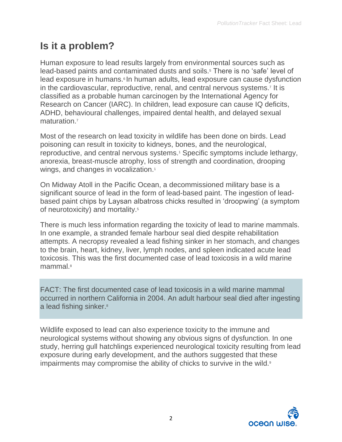# **Is it a problem?**

Human exposure to lead results largely from environmental sources such as lead-based paints and contaminated dusts and soils.<sup>5</sup> There is no 'safe' level of lead exposure in humans.<sup>6</sup> In human adults, lead exposure can cause dysfunction in the cardiovascular, reproductive, renal, and central nervous systems.<sup>7</sup> It is classified as a probable human carcinogen by the International Agency for Research on Cancer (IARC). In children, lead exposure can cause IQ deficits, ADHD, behavioural challenges, impaired dental health, and delayed sexual maturation<sup>7</sup>

Most of the research on lead toxicity in wildlife has been done on birds. Lead poisoning can result in toxicity to kidneys, bones, and the neurological, reproductive, and central nervous systems.<sup>1</sup> Specific symptoms include lethargy, anorexia, breast-muscle atrophy, loss of strength and coordination, drooping wings, and changes in vocalization.<sup>1</sup>

On Midway Atoll in the Pacific Ocean, a decommissioned military base is a significant source of lead in the form of lead-based paint. The ingestion of leadbased paint chips by Laysan albatross chicks resulted in 'droopwing' (a symptom of neurotoxicity) and mortality.<sup>5</sup>

There is much less information regarding the toxicity of lead to marine mammals. In one example, a stranded female harbour seal died despite rehabilitation attempts. A necropsy revealed a lead fishing sinker in her stomach, and changes to the brain, heart, kidney, liver, lymph nodes, and spleen indicated acute lead toxicosis. This was the first documented case of lead toxicosis in a wild marine mammal.<sup>8</sup>

FACT: The first documented case of lead toxicosis in a wild marine mammal occurred in northern California in 2004. An adult harbour seal died after ingesting a lead fishing sinker.<sup>8</sup>

Wildlife exposed to lead can also experience toxicity to the immune and neurological systems without showing any obvious signs of dysfunction. In one study, herring gull hatchlings experienced neurological toxicity resulting from lead exposure during early development, and the authors suggested that these impairments may compromise the ability of chicks to survive in the wild.<sup>9</sup>

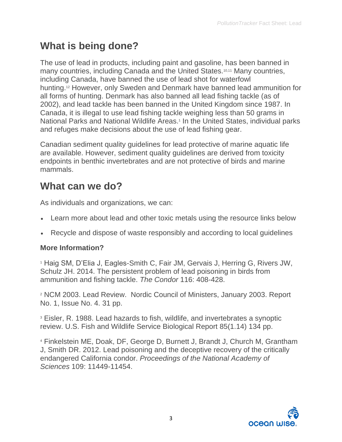# **What is being done?**

The use of lead in products, including paint and gasoline, has been banned in many countries, including Canada and the United States.<sup>10,11</sup> Many countries, including Canada, have banned the use of lead shot for waterfowl hunting.<sup>12</sup> However, only Sweden and Denmark have banned lead ammunition for all forms of hunting. Denmark has also banned all lead fishing tackle (as of 2002), and lead tackle has been banned in the United Kingdom since 1987. In Canada, it is illegal to use lead fishing tackle weighing less than 50 grams in National Parks and National Wildlife Areas.<sup>1</sup> In the United States, individual parks and refuges make decisions about the use of lead fishing gear.

Canadian sediment quality guidelines for lead protective of marine aquatic life are available. However, sediment quality guidelines are derived from toxicity endpoints in benthic invertebrates and are not protective of birds and marine mammals.

#### **What can we do?**

As individuals and organizations, we can:

- Learn more about lead and other toxic metals using the resource links below
- Recycle and dispose of waste responsibly and according to local guidelines

#### **More Information?**

<sup>1</sup> Haig SM, D'Elia J, Eagles-Smith C, Fair JM, Gervais J, Herring G, Rivers JW, Schulz JH. 2014. The persistent problem of lead poisoning in birds from ammunition and fishing tackle. *The Condor* 116: 408-428.

<sup>2</sup> NCM 2003. Lead Review. Nordic Council of Ministers, January 2003. Report No. 1, Issue No. 4. 31 pp.

<sup>3</sup> Eisler, R. 1988. Lead hazards to fish, wildlife, and invertebrates a synoptic review. U.S. Fish and Wildlife Service Biological Report 85(1.14) 134 pp.

<sup>4</sup> Finkelstein ME, Doak, DF, George D, Burnett J, Brandt J, Church M, Grantham J, Smith DR. 2012. Lead poisoning and the deceptive recovery of the critically endangered California condor. *Proceedings of the National Academy of Sciences* 109: 11449-11454.